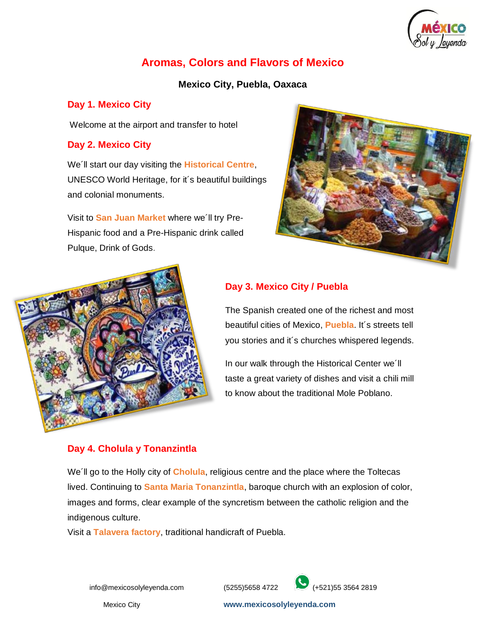

# **Aromas, Colors and Flavors of Mexico**

# **Mexico City, Puebla, Oaxaca**

# **Day 1. Mexico City**

Welcome at the airport and transfer to hotel

# **Day 2. Mexico City**

We´ll start our day visiting the **Historical Centre**, UNESCO World Heritage, for it´s beautiful buildings and colonial monuments.

Visit to **San Juan Market** where we´ll try Pre-Hispanic food and a Pre-Hispanic drink called Pulque, Drink of Gods.





# **Day 3. Mexico City / Puebla**

The Spanish created one of the richest and most beautiful cities of Mexico, **Puebla**. It´s streets tell you stories and it´s churches whispered legends.

In our walk through the Historical Center we´ll taste a great variety of dishes and visit a chili mill to know about the traditional Mole Poblano.

# **Day 4. Cholula y Tonanzintla**

We´ll go to the Holly city of **Cholula**, religious centre and the place where the Toltecas lived. Continuing to **Santa Maria Tonanzintla**, baroque church with an explosion of color, images and forms, clear example of the syncretism between the catholic religion and the indigenous culture.

Visit a **Talavera factory**, traditional handicraft of Puebla.



Mexico City **www.mexicosolyleyenda.com**